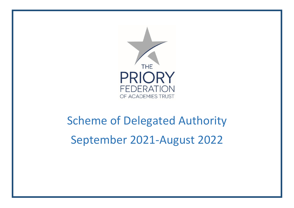

# Scheme of Delegated Authority September 2021-August 2022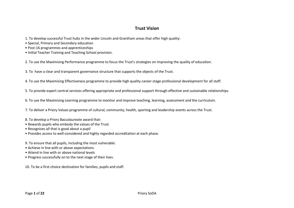### **Trust Vision**

- 1. To develop successful Trust hubs in the wider Lincoln and Grantham areas that offer high quality:
- Special, Primary and Secondary education
- Post-16 programmes and apprenticeships
- Initial Teacher Training and Teaching School provision.

2. To use the Maximising Performance programme to focus the Trust's strategies on improving the quality of education.

3. To have a clear and transparent governance structure that supports the objects of the Trust.

4. To use the Maximising Effectiveness programme to provide high quality career-stage professional development for all staff.

5. To provide expert central services offering appropriate and professional support through effective and sustainable relationships.

6. To use the Maximising Learning programme to monitor and improve teaching, learning, assessment and the curriculum.

7. To deliver a Priory Values programme of cultural, community, health, sporting and leadership events across the Trust.

- 8. To develop a Priory Baccalaureate award that:
- Rewards pupils who embody the values of the Trust
- Recognises all that is good about a pupil
- Provides access to well-considered and highly regarded accreditation at each phase.
- 9. To ensure that all pupils, including the most vulnerable:
- Achieve in line with or above expectations
- Attend in line with or above national levels
- Progress successfully on to the next stage of their lives.

10. To be a first-choice destination for families, pupils and staff.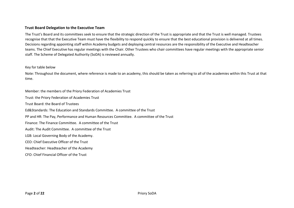#### **Trust Board Delegation to the Executive Team**

The Trust's Board and its committees seek to ensure that the strategic direction of the Trust is appropriate and that the Trust is well managed. Trustees recognise that that the Executive Team must have the flexibility to respond quickly to ensure that the best educational provision is delivered at all times. Decisions regarding appointing staff within Academy budgets and deploying central resources are the responsibility of the Executive and Headteacher teams. The Chief Executive has regular meetings with the Chair. Other Trustees who chair committees have regular meetings with the appropriate senior staff. The Scheme of Delegated Authority (SoDA) is reviewed annually.

#### Key for table below

Note: Throughout the document, where reference is made to an academy, this should be taken as referring to all of the academies within this Trust at that time.

Member: the members of the Priory Federation of Academies Trust Trust: the Priory Federation of Academies Trust Trust Board: the Board of Trustees Ed&Standards: The Education and Standards Committee. A committee of the Trust PP and HR: The Pay, Performance and Human Resources Committee. A committee of the Trust Finance: The Finance Committee. A committee of the Trust Audit: The Audit Committee. A committee of the Trust LGB: Local Governing Body of the Academy. CEO: Chief Executive Officer of the Trust Headteacher: Headteacher of the Academy

CFO: Chief Financial Officer of the Trust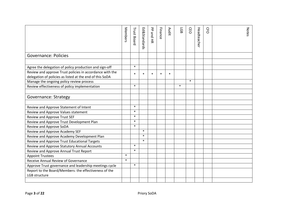|                                                                                                                      | Members | <b>Trust Board</b> | Ed&Standards | PP and HR | Finance | <b>Audit</b> | <b>LGB</b> | CEO    | Headteache | <b>C<sub>F</sub>O</b> | <b>Notes</b> |
|----------------------------------------------------------------------------------------------------------------------|---------|--------------------|--------------|-----------|---------|--------------|------------|--------|------------|-----------------------|--------------|
| <b>Governance: Policies</b>                                                                                          |         |                    |              |           |         |              |            |        |            |                       |              |
|                                                                                                                      |         |                    |              |           |         |              |            |        |            |                       |              |
| Agree the delegation of policy production and sign-off                                                               |         | $\ast$             |              |           |         |              |            |        |            |                       |              |
| Review and approve Trust policies in accordance with the<br>delegation of policies as listed at the end of this SoDA |         | $\ast$             | $\ast$       | $\ast$    | $\star$ | $\ast$       |            |        |            |                       |              |
| Manage the ongoing policy review process                                                                             |         |                    |              |           |         |              |            | $\ast$ |            |                       |              |
| Review effectiveness of policy implementation                                                                        |         | $\ast$             |              |           |         |              | $\ast$     |        |            |                       |              |
|                                                                                                                      |         |                    |              |           |         |              |            |        |            |                       |              |
| <b>Governance: Strategy</b>                                                                                          |         |                    |              |           |         |              |            |        |            |                       |              |
|                                                                                                                      |         |                    |              |           |         |              |            |        |            |                       |              |
| Review and Approve Statement of Intent                                                                               |         | $\ast$             |              |           |         |              |            |        |            |                       |              |
| Review and Approve Values statement                                                                                  |         | $\ast$             |              |           |         |              |            |        |            |                       |              |
| Review and Approve Trust SEF                                                                                         |         | $\ast$             |              |           |         |              |            |        |            |                       |              |
| Review and Approve Trust Development Plan                                                                            |         | $\ast$             |              |           |         |              |            |        |            |                       |              |
| Review and Approve SoDA                                                                                              |         | $\ast$             |              |           |         |              |            |        |            |                       |              |
| Review and Approve Academy SEF                                                                                       |         |                    | $\ast$       |           |         |              |            |        |            |                       |              |
| Review and Approve Academy Development Plan                                                                          |         |                    | $\ast$       |           |         |              |            |        |            |                       |              |
| Review and Approve Trust Educational Targets                                                                         |         |                    | $\ast$       |           |         |              |            |        |            |                       |              |
| Review and Approve Statutory Annual Accounts                                                                         |         | $\ast$             |              |           |         |              |            |        |            |                       |              |
| Review and Approve Annual Trust Report                                                                               |         | $\ast$             |              |           |         |              |            |        |            |                       |              |
| <b>Appoint Trustees</b>                                                                                              | $\ast$  |                    |              |           |         |              |            |        |            |                       |              |
| Receive Annual Review of Governance                                                                                  | $\ast$  |                    |              |           |         |              |            |        |            |                       |              |
| Approve Trust governance and leadership meetings cycle                                                               |         | $\ast$             |              |           |         |              |            |        |            |                       |              |
| Report to the Board/Members: the effectiveness of the                                                                |         |                    |              |           |         |              |            |        |            |                       |              |
| LGB structure                                                                                                        |         |                    |              |           |         |              |            |        |            |                       |              |
|                                                                                                                      |         |                    |              |           |         |              |            |        |            |                       |              |
| Page 3 of 22                                                                                                         |         |                    | Priory SoDA  |           |         |              |            |        |            |                       |              |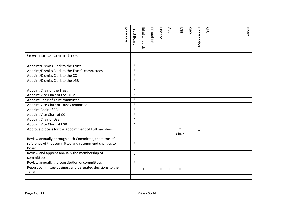|                                                                                                                        | Members | <b>Trust Board</b> | Ed&Standards | PP and HR   | Finance      | Audit  | <b>GB</b>       | CEO | Headteache | <b>C<sub>F</sub>O</b> | <b>Notes</b> |
|------------------------------------------------------------------------------------------------------------------------|---------|--------------------|--------------|-------------|--------------|--------|-----------------|-----|------------|-----------------------|--------------|
| <b>Governance: Committees</b>                                                                                          |         |                    |              |             |              |        |                 |     |            |                       |              |
|                                                                                                                        |         |                    |              |             |              |        |                 |     |            |                       |              |
| Appoint/Dismiss Clerk to the Trust                                                                                     |         | $\ast$             |              |             |              |        |                 |     |            |                       |              |
| Appoint/Dismiss Clerk to the Trust's committees                                                                        |         | $\ast$             |              |             |              |        |                 |     |            |                       |              |
| Appoint/Dismiss Clerk to the CC                                                                                        |         | $\ast$             |              |             |              |        |                 |     |            |                       |              |
| Appoint/Dismiss Clerk to the LGB                                                                                       |         | $\ast$             |              |             |              |        |                 |     |            |                       |              |
|                                                                                                                        |         |                    |              |             |              |        |                 |     |            |                       |              |
| Appoint Chair of the Trust                                                                                             |         | $\ast$             |              |             |              |        |                 |     |            |                       |              |
| Appoint Vice Chair of the Trust                                                                                        |         | $\ast$             |              |             |              |        |                 |     |            |                       |              |
| Appoint Chair of Trust committee                                                                                       |         | $\ast$             |              |             |              |        |                 |     |            |                       |              |
| Appoint Vice Chair of Trust Committee                                                                                  |         | $\ast$             |              |             |              |        |                 |     |            |                       |              |
| Appoint Chair of CC                                                                                                    |         | $\ast$             |              |             |              |        |                 |     |            |                       |              |
| Appoint Vice Chair of CC                                                                                               |         | $\ast$             |              |             |              |        |                 |     |            |                       |              |
| Appoint Chair of LGB                                                                                                   |         | $\ast$             |              |             |              |        |                 |     |            |                       |              |
| Appoint Vice Chair of LGB                                                                                              |         | $\ast$             |              |             |              |        |                 |     |            |                       |              |
| Approve process for the appointment of LGB members                                                                     |         |                    |              |             |              |        | $\ast$<br>Chair |     | $\ast$     |                       |              |
| Review annually, through each Committee, the terms of<br>reference of that committee and recommend changes to<br>Board |         | $\ast$             |              |             |              |        |                 |     |            |                       |              |
| Review and appoint annually the membership of<br>committees                                                            |         | $\ast$             |              |             |              |        |                 |     |            |                       |              |
| Review annually the constitution of committees                                                                         |         | $\ast$             |              |             |              |        |                 |     |            |                       |              |
| Report committee business and delegated decisions to the                                                               |         |                    | $\ast$       | $\ast$      | $\mathbf{r}$ | $\ast$ | $\ast$          |     |            |                       |              |
| Trust                                                                                                                  |         |                    |              |             |              |        |                 |     |            |                       |              |
|                                                                                                                        |         |                    |              |             |              |        |                 |     |            |                       |              |
| Page 4 of 22                                                                                                           |         |                    |              | Priory SoDA |              |        |                 |     |            |                       |              |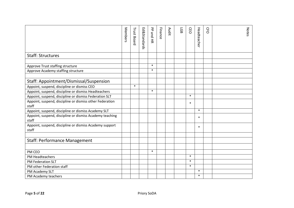|                                                                   | Members | <b>Trust Board</b> | Ed&Standards | PP and HR | Finance | Audit | <b>LGB</b> | CEO    | Headteache | <b>C<sub>F</sub>O</b> | Notes |
|-------------------------------------------------------------------|---------|--------------------|--------------|-----------|---------|-------|------------|--------|------------|-----------------------|-------|
| <b>Staff: Structures</b>                                          |         |                    |              |           |         |       |            |        |            |                       |       |
|                                                                   |         |                    |              |           |         |       |            |        |            |                       |       |
| Approve Trust staffing structure                                  |         |                    |              | $\ast$    |         |       |            |        |            |                       |       |
| Approve Academy staffing structure                                |         |                    |              | $\ast$    |         |       |            |        |            |                       |       |
|                                                                   |         |                    |              |           |         |       |            |        |            |                       |       |
| Staff: Appointment/Dismissal/Suspension                           |         |                    |              |           |         |       |            |        |            |                       |       |
| Appoint, suspend, discipline or dismiss CEO                       |         | $\ast$             |              |           |         |       |            |        |            |                       |       |
| Appoint, suspend, discipline or dismiss Headteachers              |         |                    |              | $\ast$    |         |       |            |        |            |                       |       |
| Appoint, suspend, discipline or dismiss Federation SLT            |         |                    |              |           |         |       |            | $\ast$ |            |                       |       |
| Appoint, suspend, discipline or dismiss other Federation<br>staff |         |                    |              |           |         |       |            | $\ast$ |            |                       |       |
| Appoint, suspend, discipline or dismiss Academy SLT               |         |                    |              |           |         |       |            |        | $\ast$     |                       |       |
| Appoint, suspend, discipline or dismiss Academy teaching<br>staff |         |                    |              |           |         |       |            |        | $\ast$     |                       |       |
| Appoint, suspend, discipline or dismiss Academy support<br>staff  |         |                    |              |           |         |       |            |        | $\ast$     |                       |       |
|                                                                   |         |                    |              |           |         |       |            |        |            |                       |       |
| <b>Staff: Performance Management</b>                              |         |                    |              |           |         |       |            |        |            |                       |       |
|                                                                   |         |                    |              |           |         |       |            |        |            |                       |       |
| PM CEO                                                            |         |                    |              | $\ast$    |         |       |            |        |            |                       |       |
| PM Headteachers                                                   |         |                    |              |           |         |       |            | $\ast$ |            |                       |       |
| PM Federation SLT                                                 |         |                    |              |           |         |       |            | $\ast$ |            |                       |       |
| PM other Federation staff                                         |         |                    |              |           |         |       |            | $\ast$ |            |                       |       |
| PM Academy SLT                                                    |         |                    |              |           |         |       |            |        | $\ast$     |                       |       |
| PM Academy teachers                                               |         |                    |              |           |         |       |            |        | $\ast$     |                       |       |
| Page 5 of 22                                                      |         |                    | Priory SoDA  |           |         |       |            |        |            |                       |       |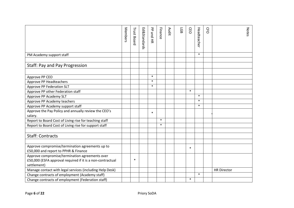|                                                            | Members | <b>Trust Board</b> | Ed&Standards | 공<br>ond HR | Finance | Audit | <b>LGB</b> | CEO    | Headteache | <b>C<sub>F</sub>O</b> | <b>Notes</b>       |
|------------------------------------------------------------|---------|--------------------|--------------|-------------|---------|-------|------------|--------|------------|-----------------------|--------------------|
| PM Academy support staff                                   |         |                    |              |             |         |       |            |        | $\ast$     |                       |                    |
|                                                            |         |                    |              |             |         |       |            |        |            |                       |                    |
| <b>Staff: Pay and Pay Progression</b>                      |         |                    |              |             |         |       |            |        |            |                       |                    |
|                                                            |         |                    |              |             |         |       |            |        |            |                       |                    |
| Approve PP CEO                                             |         |                    |              | $\ast$      |         |       |            |        |            |                       |                    |
| Approve PP Headteachers                                    |         |                    |              | $\ast$      |         |       |            |        |            |                       |                    |
| Approve PP Federation SLT                                  |         |                    |              | $\ast$      |         |       |            |        |            |                       |                    |
| Approve PP other Federation staff                          |         |                    |              |             |         |       |            | $\ast$ |            |                       |                    |
| Approve PP Academy SLT                                     |         |                    |              |             |         |       |            |        | $\ast$     |                       |                    |
| Approve PP Academy teachers                                |         |                    |              |             |         |       |            |        | $\ast$     |                       |                    |
| Approve PP Academy support staff                           |         |                    |              |             |         |       |            |        | $\ast$     |                       |                    |
| Approve the Pay Policy and annually review the CEO's       |         |                    |              | $\ast$      |         |       |            |        |            |                       |                    |
| salary.                                                    |         |                    |              |             |         |       |            |        |            |                       |                    |
| Report to Board Cost of Living rise for teaching staff     |         |                    |              |             | $\ast$  |       |            |        |            |                       |                    |
| Report to Board Cost of Living rise for support staff      |         |                    |              |             | $\ast$  |       |            |        |            |                       |                    |
|                                                            |         |                    |              |             |         |       |            |        |            |                       |                    |
| <b>Staff: Contracts</b>                                    |         |                    |              |             |         |       |            |        |            |                       |                    |
|                                                            |         |                    |              |             |         |       |            |        |            |                       |                    |
| Approve compromise/termination agreements up to            |         |                    |              |             |         |       |            | $\ast$ |            |                       |                    |
| £50,000 and report to PPHR & Finance                       |         |                    |              |             |         |       |            |        |            |                       |                    |
| Approve compromise/termination agreements over             |         |                    |              |             |         |       |            |        |            |                       |                    |
| £50,000 (ESFA approval required if it is a non-contractual |         | $\ast$             |              |             |         |       |            |        |            |                       |                    |
| settlement)                                                |         |                    |              |             |         |       |            |        |            |                       |                    |
| Manage contact with legal services (including Help Desk)   |         |                    |              |             |         |       |            |        |            |                       | <b>HR Director</b> |
| Change contracts of employment (Academy staff)             |         |                    |              |             |         |       |            |        | $\ast$     |                       |                    |
| Change contracts of employment (Federation staff)          |         |                    |              |             |         |       |            | $\ast$ |            |                       |                    |
| Page 6 of 22                                               |         |                    | Priory SoDA  |             |         |       |            |        |            |                       |                    |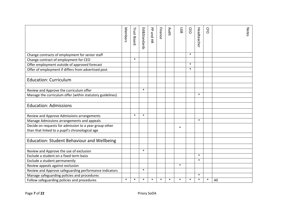|                                                           | Members | <b>Trust Board</b> | Ed&Standards | PP and HR | Finance | <b>Audit</b> | <b>LGB</b> | CEO    | Headteache | <b>C<sub>F</sub>O</b> | <b>Notes</b> |
|-----------------------------------------------------------|---------|--------------------|--------------|-----------|---------|--------------|------------|--------|------------|-----------------------|--------------|
| Change contracts of employment for senior staff           |         |                    |              |           |         |              |            | $\ast$ |            |                       |              |
| Change contract of employment for CEO                     |         | $\ast$             |              |           |         |              |            |        |            |                       |              |
| Offer employment outside of approved forecast             |         |                    |              |           |         |              |            | $\ast$ |            |                       |              |
| Offer of employment if differs from advertised post       |         |                    |              |           |         |              |            | $\ast$ |            |                       |              |
|                                                           |         |                    |              |           |         |              |            |        |            |                       |              |
| <b>Education: Curriculum</b>                              |         |                    |              |           |         |              |            |        |            |                       |              |
|                                                           |         |                    |              |           |         |              |            |        |            |                       |              |
| Review and Approve the curriculum offer                   |         |                    | $\ast$       |           |         |              |            |        |            |                       |              |
| Manage the curriculum offer (within statutory guidelines) |         |                    |              |           |         |              |            |        | $\ast$     |                       |              |
|                                                           |         |                    |              |           |         |              |            |        |            |                       |              |
| <b>Education: Admissions</b>                              |         |                    |              |           |         |              |            |        |            |                       |              |
|                                                           |         |                    |              |           |         |              |            |        |            |                       |              |
| Review and Approve Admissions arrangements                |         | $\ast$             | $\ast$       |           |         |              |            |        |            |                       |              |
| Manage Admissions arrangements and appeals                |         |                    |              |           |         |              |            |        | $\ast$     |                       |              |
| Decide on requests for admission to a year group other    |         |                    |              |           |         |              | $\ast$     |        |            |                       |              |
| than that linked to a pupil's chronological age           |         |                    |              |           |         |              |            |        |            |                       |              |
|                                                           |         |                    |              |           |         |              |            |        |            |                       |              |
| <b>Education: Student Behaviour and Wellbeing</b>         |         |                    |              |           |         |              |            |        |            |                       |              |
|                                                           |         |                    |              |           |         |              |            |        |            |                       |              |
| Review and Approve the use of exclusion                   |         |                    | $\ast$       |           |         |              |            |        |            |                       |              |
| Exclude a student on a fixed term basis                   |         |                    |              |           |         |              |            |        | $\ast$     |                       |              |
| Exclude a student permanently                             |         |                    |              |           |         |              |            |        | $\ast$     |                       |              |
| Review appeals against exclusion                          |         |                    |              |           |         |              | $\ast$     |        |            |                       |              |
| Review and Approve safeguarding performance indicators    |         |                    | $\ast$       |           |         |              |            |        |            |                       |              |
| Manage safeguarding policies and procedures               |         |                    |              |           |         |              |            |        | $\ast$     |                       |              |
| Follow safeguarding policies and procedures               | $\ast$  | $\ast$             | $\ast$       | $\ast$    | $\ast$  | $\ast$       | $\ast$     | $\ast$ | $\ast$     | $\ast$                | All          |
| Page 7 of 22                                              |         |                    | Priory SoDA  |           |         |              |            |        |            |                       |              |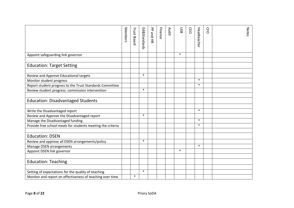|                                                             | Members | <b>Trust Board</b> | Ed&Standards | PP and HR | Finance | Audit | <b>LGB</b> | CEO | Headteache       | <b>C<sub>F</sub>O</b> | <b>Notes</b> |
|-------------------------------------------------------------|---------|--------------------|--------------|-----------|---------|-------|------------|-----|------------------|-----------------------|--------------|
| Appoint safeguarding link governor                          |         |                    |              |           |         |       | $\ast$     |     |                  |                       |              |
|                                                             |         |                    |              |           |         |       |            |     |                  |                       |              |
| <b>Education: Target Setting</b>                            |         |                    |              |           |         |       |            |     |                  |                       |              |
|                                                             |         |                    |              |           |         |       |            |     |                  |                       |              |
| Review and Approve Educational targets                      |         |                    | $\ast$       |           |         |       |            |     |                  |                       |              |
| Monitor student progress                                    |         |                    |              |           |         |       |            |     | $\ast$<br>$\ast$ |                       |              |
| Report student progress to the Trust Standards Committee    |         |                    | $\ast$       |           |         |       |            |     |                  |                       |              |
| Review student progress: commission intervention            |         |                    |              |           |         |       |            |     |                  |                       |              |
|                                                             |         |                    |              |           |         |       |            |     |                  |                       |              |
| <b>Education: Disadvantaged Students</b>                    |         |                    |              |           |         |       |            |     |                  |                       |              |
|                                                             |         |                    |              |           |         |       |            |     | $\ast$           |                       |              |
| Write the Disadvantaged report                              |         |                    |              |           |         |       |            |     |                  |                       |              |
| Review and Approve the Disadvantaged report                 |         |                    | $\ast$       |           |         |       |            |     |                  |                       |              |
| Manage the Disadvantaged funding                            |         |                    |              |           |         |       |            |     | $\ast$           |                       |              |
| Provide free school meals for students meeting the criteria |         |                    |              |           |         |       |            |     | $\ast$           |                       |              |
| <b>Education: DSEN</b>                                      |         |                    |              |           |         |       |            |     |                  |                       |              |
|                                                             |         |                    | $\ast$       |           |         |       |            |     |                  |                       |              |
| Review and approve all DSEN arrangements/policy             |         |                    |              |           |         |       |            |     | $\ast$           |                       |              |
| Manage DSEN arrangements                                    |         |                    |              |           |         |       | $\ast$     |     |                  |                       |              |
| Appoint DSEN link governor                                  |         |                    |              |           |         |       |            |     |                  |                       |              |
|                                                             |         |                    |              |           |         |       |            |     |                  |                       |              |
| <b>Education: Teaching</b>                                  |         |                    |              |           |         |       |            |     |                  |                       |              |
|                                                             |         |                    | $\ast$       |           |         |       |            |     |                  |                       |              |
| Setting of expectations for the quality of teaching         |         | $\ast$             |              |           |         |       |            |     |                  |                       |              |
| Monitor and report on effectiveness of teaching over time   |         |                    |              |           |         |       |            |     |                  |                       |              |
|                                                             |         |                    |              |           |         |       |            |     |                  |                       |              |
| Page 8 of 22                                                |         |                    | Priory SoDA  |           |         |       |            |     |                  |                       |              |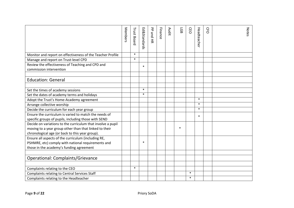|                                                             | Members | <b>Trust Board</b> | Ed&Standards | 공<br><b>Sand HR</b> | Finance | <b>Audit</b> | 59     | <b>CEO</b> | Headteacher | CFO | <b>Notes</b> |
|-------------------------------------------------------------|---------|--------------------|--------------|---------------------|---------|--------------|--------|------------|-------------|-----|--------------|
| Monitor and report on effectiveness of the Teacher Profile  |         | $\ast$             |              |                     |         |              |        |            |             |     |              |
| Manage and report on Trust-level CPD                        |         | $\ast$             |              |                     |         |              |        |            |             |     |              |
| Review the effectiveness of Teaching and CPD and            |         |                    | $\ast$       |                     |         |              |        |            |             |     |              |
| commission intervention                                     |         |                    |              |                     |         |              |        |            |             |     |              |
|                                                             |         |                    |              |                     |         |              |        |            |             |     |              |
| <b>Education: General</b>                                   |         |                    |              |                     |         |              |        |            |             |     |              |
|                                                             |         |                    |              |                     |         |              |        |            |             |     |              |
| Set the times of academy sessions                           |         |                    | $\ast$       |                     |         |              |        |            |             |     |              |
| Set the dates of academy terms and holidays                 |         |                    | $\ast$       |                     |         |              |        |            |             |     |              |
| Adopt the Trust's Home-Academy agreement                    |         |                    |              |                     |         |              |        |            | $\ast$      |     |              |
| Arrange collective worship                                  |         |                    |              |                     |         |              |        |            | $\ast$      |     |              |
| Decide the curriculum for each year group                   |         |                    |              |                     |         |              |        |            | $\ast$      |     |              |
| Ensure the curriculum is varied to match the needs of       |         |                    |              |                     |         |              |        |            | $\ast$      |     |              |
| specific groups of pupils, including those with SEND        |         |                    |              |                     |         |              |        |            |             |     |              |
| Decide on variations to the curriculum that involve a pupil |         |                    |              |                     |         |              |        |            |             |     |              |
| moving to a year group other than that linked to their      |         |                    |              |                     |         |              | $\ast$ |            |             |     |              |
| chronological age (or back to this year group).             |         |                    |              |                     |         |              |        |            |             |     |              |
| Ensure all aspects of the curriculum (including RE,         |         |                    |              |                     |         |              |        |            |             |     |              |
| PSHMRE, etc) comply with national requirements and          |         |                    | $\ast$       |                     |         |              |        |            |             |     |              |
| those in the academy's funding agreement                    |         |                    |              |                     |         |              |        |            |             |     |              |
|                                                             |         |                    |              |                     |         |              |        |            |             |     |              |
| <b>Operational: Complaints/Grievance</b>                    |         |                    |              |                     |         |              |        |            |             |     |              |
|                                                             |         |                    |              |                     |         |              |        |            |             |     |              |
| Complaints relating to the CEO                              |         | $\ast$             |              |                     |         |              |        |            |             |     |              |
| Complaints relating to Central Services Staff               |         |                    |              |                     |         |              |        | $\ast$     |             |     |              |
| Complaints relating to the Headteacher                      |         |                    |              |                     |         |              |        | $\ast$     |             |     |              |
|                                                             |         |                    |              |                     |         |              |        |            |             |     |              |
| Page 9 of 22                                                |         |                    | Priory SoDA  |                     |         |              |        |            |             |     |              |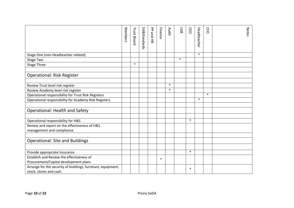|                                                                                    | Members | <b>Trust Board</b> | Ed&Standards | PP and HR | Finance | Audit  | <b>LGB</b> | CEO    | Headteache | <b>C<sub>F</sub>O</b> | <b>Notes</b> |
|------------------------------------------------------------------------------------|---------|--------------------|--------------|-----------|---------|--------|------------|--------|------------|-----------------------|--------------|
| Stage One (non-Headteacher related)                                                |         |                    |              |           |         |        |            |        | $\ast$     |                       |              |
| Stage Two                                                                          |         |                    |              |           |         |        | $\ast$     |        |            |                       |              |
| <b>Stage Three</b>                                                                 |         | $\ast$             |              |           |         |        |            |        |            |                       |              |
| <b>Operational: Risk Register</b>                                                  |         |                    |              |           |         |        |            |        |            |                       |              |
|                                                                                    |         |                    |              |           |         |        |            |        |            |                       |              |
| Review Trust level risk register                                                   |         |                    |              |           |         | $\ast$ |            |        |            |                       |              |
| Review Academy level risk register                                                 |         |                    |              |           |         | $\ast$ |            |        |            |                       |              |
| Operational responsibility for Trust Risk Registers                                |         |                    |              |           |         |        |            |        |            | $\ast$                |              |
| Operational responsibility for Academy Risk Registers                              |         |                    |              |           |         |        |            |        | $\ast$     |                       |              |
|                                                                                    |         |                    |              |           |         |        |            |        |            |                       |              |
| <b>Operational: Health and Safety</b>                                              |         |                    |              |           |         |        |            |        |            |                       |              |
|                                                                                    |         |                    |              |           |         |        |            |        |            |                       |              |
| Operational responsibility for H&S                                                 |         |                    |              |           |         |        |            | $\ast$ |            |                       |              |
| Review and report on the effectiveness of H&S<br>management and compliance         |         |                    |              |           |         |        |            |        |            |                       |              |
|                                                                                    |         |                    |              |           |         |        |            |        |            |                       |              |
| <b>Operational: Site and Buildings</b>                                             |         |                    |              |           |         |        |            |        |            |                       |              |
|                                                                                    |         |                    |              |           |         |        |            |        |            |                       |              |
| Provide appropriate Insurance                                                      |         |                    |              |           |         |        |            | $\ast$ |            |                       |              |
| Establish and Review the effectiveness of<br>Procurement/Capital development plans |         |                    |              |           | $\ast$  |        |            |        |            |                       |              |
| Arrange for the security of buildings, furniture, equipment,                       |         |                    |              |           |         |        |            | $\ast$ |            |                       |              |
| stock, stores and cash.                                                            |         |                    |              |           |         |        |            |        |            |                       |              |
| Page 10 of 22                                                                      |         |                    | Priory SoDA  |           |         |        |            |        |            |                       |              |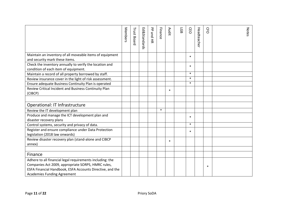|                                                                                                                                                                                                                    | Members | <b>Trust Board</b> | Ed&Standards | PP and HR | Finance | Audit  | <b>GB</b> | <b>CEO</b> | Headteache | <b>C<sub>F</sub>O</b> | <b>Notes</b> |
|--------------------------------------------------------------------------------------------------------------------------------------------------------------------------------------------------------------------|---------|--------------------|--------------|-----------|---------|--------|-----------|------------|------------|-----------------------|--------------|
| Maintain an inventory of all moveable items of equipment<br>and security mark these items.                                                                                                                         |         |                    |              |           |         |        |           | $\ast$     |            |                       |              |
| Check the inventory annually to verify the location and<br>condition of each item of equipment.                                                                                                                    |         |                    |              |           |         |        |           | $\ast$     |            |                       |              |
| Maintain a record of all property borrowed by staff.                                                                                                                                                               |         |                    |              |           |         |        |           | $\ast$     |            |                       |              |
| Review insurance cover in the light of risk assessment.                                                                                                                                                            |         |                    |              |           |         |        |           | $\ast$     |            |                       |              |
| Ensure adequate Business Continuity Plan is operated                                                                                                                                                               |         |                    |              |           |         |        |           | $\ast$     |            |                       |              |
| Review Critical Incident and Business Continuity Plan<br>(CIBCP)                                                                                                                                                   |         |                    |              |           |         | $\ast$ |           |            |            |                       |              |
|                                                                                                                                                                                                                    |         |                    |              |           |         |        |           |            |            |                       |              |
| Operational: IT Infrastructure                                                                                                                                                                                     |         |                    |              |           |         |        |           |            |            |                       |              |
| Review the IT development plan                                                                                                                                                                                     |         |                    |              |           | $\ast$  |        |           |            |            |                       |              |
| Produce and manage the ICT development plan and                                                                                                                                                                    |         |                    |              |           |         |        |           | $\ast$     |            |                       |              |
| disaster recovery plans                                                                                                                                                                                            |         |                    |              |           |         |        |           |            |            |                       |              |
| Control systems, security and privacy of data.                                                                                                                                                                     |         |                    |              |           |         |        |           | $\ast$     |            |                       |              |
| Register and ensure compliance under Data Protection<br>legislation (2018 law onwards)                                                                                                                             |         |                    |              |           |         |        |           | $\ast$     |            |                       |              |
| Review disaster recovery plan (stand-alone and CIBCP<br>annex)                                                                                                                                                     |         |                    |              |           |         | $\ast$ |           |            |            |                       |              |
|                                                                                                                                                                                                                    |         |                    |              |           |         |        |           |            |            |                       |              |
| Finance                                                                                                                                                                                                            |         |                    |              |           |         |        |           |            |            |                       |              |
| Adhere to all financial legal requirements including: the<br>Companies Act 2009, appropriate SORPS, HMRC rules,<br>ESFA Financial Handbook, ESFA Accounts Directive, and the<br><b>Academies Funding Agreement</b> |         |                    |              |           |         |        |           |            |            | $\ast$                |              |
| Page 11 of 22                                                                                                                                                                                                      |         |                    | Priory SoDA  |           |         |        |           |            |            |                       |              |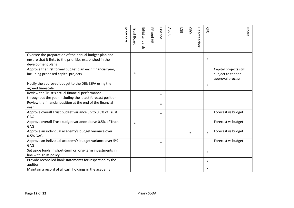|                                                                                                                                         | Members | <b>Trust Board</b> | <b>Ed&amp;Standards</b> | PP and HR | Finance | Audit | <b>LGB</b> | CEO    | Headteache | <b>C<sub>F</sub>O</b> | <b>Notes</b>                                                     |
|-----------------------------------------------------------------------------------------------------------------------------------------|---------|--------------------|-------------------------|-----------|---------|-------|------------|--------|------------|-----------------------|------------------------------------------------------------------|
| Oversee the preparation of the annual budget plan and<br>ensure that it links to the priorities established in the<br>development plans |         |                    |                         |           |         |       |            |        |            | $\ast$                |                                                                  |
| Approve the first formal budget plan each financial year,<br>including proposed capital projects                                        |         | $\ast$             |                         |           |         |       |            |        |            |                       | Capital projects still<br>subject to tender<br>approval process. |
| Notify the approved budget to the DfE/ESFA using the<br>agreed timescale                                                                |         |                    |                         |           |         |       |            |        |            | $\ast$                |                                                                  |
| Review the Trust's actual financial performance<br>throughout the year including the latest forecast position                           |         |                    |                         |           | $\ast$  |       |            |        |            |                       |                                                                  |
| Review the financial position at the end of the financial<br>year                                                                       |         |                    |                         |           | $\ast$  |       |            |        |            |                       |                                                                  |
| Approve overall Trust budget variance up to 0.5% of Trust<br>GAG                                                                        |         |                    |                         |           | $\ast$  |       |            |        |            |                       | Forecast vs budget                                               |
| Approve overall Trust budget variance above 0.5% of Trust<br>GAG                                                                        |         | $\ast$             |                         |           |         |       |            |        |            |                       | Forecast vs budget                                               |
| Approve an individual academy's budget variance over<br>0.5% GAG                                                                        |         |                    |                         |           |         |       |            | $\ast$ |            | $\ast$                | Forecast vs budget                                               |
| Approve an individual academy's budget variance over 5%<br>GAG                                                                          |         |                    |                         |           | $\ast$  |       |            |        |            |                       | Forecast vs budget                                               |
| Set aside funds in short-term or long-term investments in<br>line with Trust policy                                                     |         |                    |                         |           |         |       |            |        |            | $\ast$                |                                                                  |
| Provide reconciled bank statements for inspection by the<br>auditor                                                                     |         |                    |                         |           |         |       |            |        |            | $\ast$                |                                                                  |
| Maintain a record of all cash holdings in the academy                                                                                   |         |                    |                         |           |         |       |            |        |            | $\ast$                |                                                                  |
| Page 12 of 22                                                                                                                           |         |                    | Priory SoDA             |           |         |       |            |        |            |                       |                                                                  |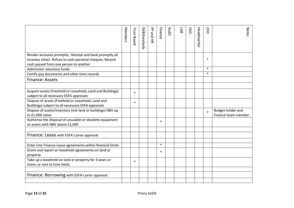|                                                                                                                                                              | Members | <b>Trust Board</b> | Ed&Standards | PP and HR | Finance | Audit | 59 | <b>CEO</b> | Headteacher | CFO    | <b>Notes</b>                             |
|--------------------------------------------------------------------------------------------------------------------------------------------------------------|---------|--------------------|--------------|-----------|---------|-------|----|------------|-------------|--------|------------------------------------------|
| Render accounts promptly. Receipt and bank promptly all<br>incomes intact. Refuse to cash personal cheques. Record<br>cash passed from one person to another |         |                    |              |           |         |       |    |            |             | $\ast$ |                                          |
| Administer voluntary funds                                                                                                                                   |         |                    |              |           |         |       |    |            |             | $\ast$ |                                          |
| Certify pay documents and other time records                                                                                                                 |         |                    |              |           |         |       |    |            |             | $\ast$ |                                          |
| <b>Finance: Assets</b>                                                                                                                                       |         |                    |              |           |         |       |    |            |             |        |                                          |
|                                                                                                                                                              |         |                    |              |           |         |       |    |            |             |        |                                          |
| Acquire assets (Freehold or Leasehold, Land and Buildings)<br>subject to all necessary ESFA approvals                                                        |         | $\ast$             |              |           |         |       |    |            |             |        |                                          |
| Dispose of assets (Freehold or Leasehold, Land and<br>Buildings) subject to all necessary ESFA approvals                                                     |         | $\ast$             |              |           |         |       |    |            |             |        |                                          |
| Dispose of assets/inventory (not land or buildings) NBV up<br>to £1,000 value                                                                                |         |                    |              |           |         |       |    |            |             | $\ast$ | Budget holder and<br>Finance team member |
| Authorise the disposal of unusable or obsolete equipment<br>or assets with NBV above £1,000                                                                  |         |                    |              |           | $\ast$  |       |    |            |             |        |                                          |
|                                                                                                                                                              |         |                    |              |           |         |       |    |            |             |        |                                          |
| Finance: Lease with ESFA's prior approval                                                                                                                    |         |                    |              |           |         |       |    |            |             |        |                                          |
| Enter into Finance Lease agreements within financial limits                                                                                                  |         |                    |              |           | $\ast$  |       |    |            |             |        |                                          |
| Grant and report on leasehold agreements on land or<br>property                                                                                              |         |                    |              |           | $\ast$  |       |    |            |             |        |                                          |
| Take up a leasehold on land or property for 3 years or<br>more; or rent to time limits                                                                       |         | $\ast$             |              |           |         |       |    |            |             |        |                                          |
| Finance: Borrowing with ESFA's prior approval                                                                                                                |         |                    |              |           |         |       |    |            |             |        |                                          |
|                                                                                                                                                              |         |                    |              |           |         |       |    |            |             |        |                                          |
| Page 13 of 22                                                                                                                                                |         |                    | Priory SoDA  |           |         |       |    |            |             |        |                                          |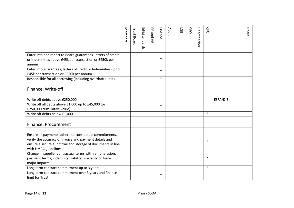|                                                                                                                                                                                                          | Members | <b>Trust Board</b> | Ed&Standards | PP and HR   | Finance | Audit | <b>LGB</b> | CEO | Headteache | <b>C<sub>F</sub>O</b> | <b>Notes</b> |
|----------------------------------------------------------------------------------------------------------------------------------------------------------------------------------------------------------|---------|--------------------|--------------|-------------|---------|-------|------------|-----|------------|-----------------------|--------------|
| Enter into and report to Board guarantees, letters of credit<br>or Indemnities above £45k per transaction or £250k per<br>annum                                                                          |         |                    |              |             | $\ast$  |       |            |     |            |                       |              |
| Enter into guarantees, letters of credit or Indemnities up to<br>£45k per transaction or £250k per annum                                                                                                 |         |                    |              |             | $\ast$  |       |            |     |            |                       |              |
| Responsible for all borrowing (including overdraft) limits                                                                                                                                               |         |                    |              |             | $\ast$  |       |            |     |            |                       |              |
| Finance: Write-off                                                                                                                                                                                       |         |                    |              |             |         |       |            |     |            |                       |              |
| Write off debts above £250,000<br>Write off all debts above £1,000 up to £45,000 (or                                                                                                                     |         |                    |              |             |         |       |            |     |            |                       | ESFA/DfE     |
| £250,000 cumulative value)                                                                                                                                                                               |         |                    |              |             | $\ast$  |       |            |     |            |                       |              |
| Write off debts below £1,000                                                                                                                                                                             |         |                    |              |             |         |       |            |     |            | $\ast$                |              |
| <b>Finance: Procurement</b>                                                                                                                                                                              |         |                    |              |             |         |       |            |     |            |                       |              |
| Ensure all payments adhere to contractual commitments,<br>verify the accuracy of invoice and payment details and<br>ensure a secure audit trail and storage of documents in line<br>with HMRC guidelines |         |                    |              |             |         |       |            |     |            | $\ast$                |              |
| Change in supplier contractual terms with remuneration,<br>payment terms, indemnity, liability, warranty or force<br>major impacts                                                                       |         |                    |              |             |         |       |            |     |            | $\ast$                |              |
| Long term contract commitment up to 3 years                                                                                                                                                              |         |                    |              |             |         |       |            |     |            | $\ast$                |              |
| Long term contract commitment over 3 years and finance<br>limit for Trust                                                                                                                                |         |                    |              |             | $\ast$  |       |            |     |            |                       |              |
| Page 14 of 22                                                                                                                                                                                            |         |                    |              | Priory SoDA |         |       |            |     |            |                       |              |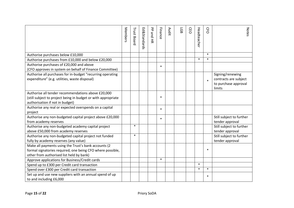|                                                                                                                                                                 | Members | <b>Trust Board</b> | <b>Ed&amp;Standards</b> | 공<br>ond HR | Finance | Audit | <b>LGB</b> | Œ<br>$\circ$ | Headteache | <b>C<sub>F</sub>O</b> | <b>Notes</b>                                                                |
|-----------------------------------------------------------------------------------------------------------------------------------------------------------------|---------|--------------------|-------------------------|-------------|---------|-------|------------|--------------|------------|-----------------------|-----------------------------------------------------------------------------|
| Authorise purchases below £10,000                                                                                                                               |         |                    |                         |             |         |       |            |              |            | $\ast$                |                                                                             |
| Authorise purchases from £10,000 and below £20,000                                                                                                              |         |                    |                         |             |         |       |            |              | $\ast$     | $\ast$                |                                                                             |
| Authorise purchases of £20,000 and above<br>(CFO approves in system on behalf of Finance Committee)                                                             |         |                    |                         |             | $\ast$  |       |            |              |            |                       |                                                                             |
| Authorise all purchases for in-budget "recurring operating<br>expenditure" (e.g. utilities, waste disposal)                                                     |         |                    |                         |             |         |       |            |              |            | $\ast$                | Signing/renewing<br>contracts are subject<br>to purchase approval<br>limits |
| Authorise all tender recommendations above £20,000<br>(still subject to project being in budget or with appropriate<br>authorisation if not in budget)          |         |                    |                         |             | $\ast$  |       |            |              |            |                       |                                                                             |
| Authorise any real or expected overspends on a capital<br>project                                                                                               |         |                    |                         |             | $\ast$  |       |            |              |            |                       |                                                                             |
| Authorise any non-budgeted capital project above £20,000<br>from academy reserves                                                                               |         |                    |                         |             | $\ast$  |       |            |              |            |                       | Still subject to further<br>tender approval                                 |
| Authorise any non-budgeted academy capital project<br>above £50,000 from academy reserves                                                                       |         | $\ast$             |                         |             |         |       |            |              |            |                       | Still subject to further<br>tender approval                                 |
| Authorise any non-budgeted capital project not funded<br>fully by academy reserves (any value)                                                                  |         | $\ast$             |                         |             |         |       |            |              |            |                       | Still subject to further<br>tender approval                                 |
| Make all payments using the Trust's bank accounts (2)<br>formal signatories required, one being CFO where possible,<br>other from authorised list held by bank) |         |                    |                         |             |         |       |            |              |            | $\ast$                |                                                                             |
| Approve applications for Business/Credit cards                                                                                                                  |         |                    |                         |             | $\ast$  |       |            |              |            |                       |                                                                             |
| Spend up to £300 per Credit card transaction                                                                                                                    |         |                    |                         |             |         |       |            |              | $\ast$     |                       |                                                                             |
| Spend over £300 per Credit card transaction                                                                                                                     |         |                    |                         |             |         |       |            |              | $\ast$     | $\ast$                |                                                                             |
| Set up and use new suppliers with an annual spend of up<br>to and including £6,000                                                                              |         |                    |                         |             |         |       |            |              |            | $\ast$                |                                                                             |
| Page 15 of 22                                                                                                                                                   |         |                    | Priory SoDA             |             |         |       |            |              |            |                       |                                                                             |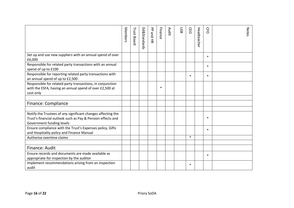|                                                                                                                                                          | Members | <b>Trust Board</b> | <b>Ed&amp;Standards</b> | PP and HR | Finance | <b>Audit</b> | <b>LGB</b> | <b>CEO</b> | Headteache | <b>C<sub>F</sub>O</b> | <b>Notes</b> |
|----------------------------------------------------------------------------------------------------------------------------------------------------------|---------|--------------------|-------------------------|-----------|---------|--------------|------------|------------|------------|-----------------------|--------------|
| Set up and use new suppliers with an annual spend of over<br>£6,000                                                                                      |         |                    |                         |           |         |              |            |            |            | $\ast$                |              |
| Responsible for related party transactions with an annual<br>spend of up to £100                                                                         |         |                    |                         |           |         |              |            |            |            | $\ast$                |              |
| Responsible for reporting related party transactions with<br>an annual spend of up to £2,500                                                             |         |                    |                         |           |         |              |            | $\ast$     |            | $\ast$                |              |
| Responsible for related party transactions, in conjunction<br>with the ESFA, having an annual spend of over £2,500 at<br>cost only                       |         |                    |                         |           | $\ast$  |              |            |            |            |                       |              |
| Finance: Compliance                                                                                                                                      |         |                    |                         |           |         |              |            |            |            |                       |              |
| Notify the Trustees of any significant changes affecting the<br>Trust's financial outlook such as Pay & Pension effects and<br>Government funding levels |         |                    |                         |           |         |              |            |            |            | $\ast$                |              |
| Ensure compliance with the Trust's Expenses policy, Gifts<br>and Hospitality policy and Finance Manual                                                   |         |                    |                         |           |         |              |            |            |            | $\ast$                |              |
| Authorise overtime claims                                                                                                                                |         |                    |                         |           |         |              |            | $\ast$     |            |                       |              |
| Finance: Audit                                                                                                                                           |         |                    |                         |           |         |              |            |            |            |                       |              |
| Ensure records and documents are made available as<br>appropriate for inspection by the auditor                                                          |         |                    |                         |           |         |              |            |            |            | $\ast$                |              |
| Implement recommendations arising from an inspection<br>audit                                                                                            |         |                    |                         |           |         |              |            | $\ast$     |            |                       |              |
| Page 16 of 22                                                                                                                                            |         |                    | Priory SoDA             |           |         |              |            |            |            |                       |              |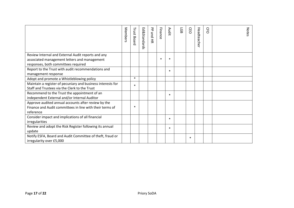|                                                                                                    | Members | <b>Trust Board</b> | Ed&Standards | 공<br>pue<br>$\overline{5}$ | Finance | Audit  | LGB | CEO    | Headteacher | CFO | <b>Notes</b> |
|----------------------------------------------------------------------------------------------------|---------|--------------------|--------------|----------------------------|---------|--------|-----|--------|-------------|-----|--------------|
| Review Internal and External Audit reports and any<br>associated management letters and management |         |                    |              |                            | $\ast$  | $\ast$ |     |        |             |     |              |
| responses, both committees required                                                                |         |                    |              |                            |         |        |     |        |             |     |              |
| Report to the Trust with audit recommendations and                                                 |         |                    |              |                            |         | $\ast$ |     |        |             |     |              |
| management response                                                                                |         |                    |              |                            |         |        |     |        |             |     |              |
| Adopt and promote a Whistleblowing policy                                                          |         | $\ast$             |              |                            |         |        |     |        |             |     |              |
| Maintain a register of pecuniary and business interests for                                        |         | $\ast$             |              |                            |         |        |     |        |             |     |              |
| Staff and Trustees via the Clerk to the Trust                                                      |         |                    |              |                            |         |        |     |        |             |     |              |
| Recommend to the Trust the appointment of an                                                       |         |                    |              |                            |         | $\ast$ |     |        |             |     |              |
| independent External and/or Internal Auditor                                                       |         |                    |              |                            |         |        |     |        |             |     |              |
| Approve audited annual accounts after review by the                                                |         | $\ast$             |              |                            |         |        |     |        |             |     |              |
| Finance and Audit committees in line with their terms of                                           |         |                    |              |                            |         |        |     |        |             |     |              |
| reference                                                                                          |         |                    |              |                            |         |        |     |        |             |     |              |
| Consider impact and implications of all financial<br>irregularities                                |         |                    |              |                            |         | $\ast$ |     |        |             |     |              |
| Review and adopt the Risk Register following its annual                                            |         |                    |              |                            |         |        |     |        |             |     |              |
| update                                                                                             |         |                    |              |                            |         | $\ast$ |     |        |             |     |              |
| Notify ESFA, Board and Audit Committee of theft, fraud or                                          |         |                    |              |                            |         |        |     |        |             |     |              |
| irregularity over £5,000                                                                           |         |                    |              |                            |         |        |     | $\ast$ |             |     |              |
|                                                                                                    |         |                    |              |                            |         |        |     |        |             |     |              |
| Page 17 of 22                                                                                      |         |                    | Priory SoDA  |                            |         |        |     |        |             |     |              |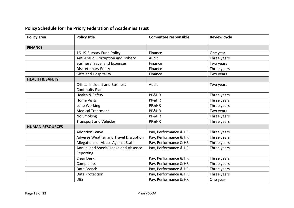| Policy area                | <b>Policy title</b>                   | <b>Committee responsible</b> | <b>Review cycle</b> |
|----------------------------|---------------------------------------|------------------------------|---------------------|
| <b>FINANCE</b>             |                                       |                              |                     |
|                            | 16-19 Bursary Fund Policy             | Finance                      | One year            |
|                            | Anti-Fraud, Corruption and Bribery    | Audit                        | Three years         |
|                            | <b>Business Travel and Expenses</b>   | Finance                      | Two years           |
|                            | <b>Discretionary Policy</b>           | Finance                      | Three years         |
|                            | <b>Gifts and Hospitality</b>          | Finance                      | Two years           |
| <b>HEALTH &amp; SAFETY</b> |                                       |                              |                     |
|                            | <b>Critical Incident and Business</b> | Audit                        | Two years           |
|                            | <b>Continuity Plan</b>                |                              |                     |
|                            | Health & Safety                       | PP&HR                        | Three years         |
|                            | <b>Home Visits</b>                    | PP&HR                        | Three years         |
|                            | Lone Working                          | PP&HR                        | Three years         |
|                            | <b>Medical Treatment</b>              | PP&HR                        | Two years           |
|                            | No Smoking                            | PP&HR                        | Three years         |
|                            | <b>Transport and Vehicles</b>         | PP&HR                        | Three years         |
| <b>HUMAN RESOURCES</b>     |                                       |                              |                     |
|                            | <b>Adoption Leave</b>                 | Pay, Performance & HR        | Three years         |
|                            | Adverse Weather and Travel Disruption | Pay, Performance & HR        | Three years         |
|                            | Allegations of Abuse Against Staff    | Pay, Performance & HR        | Three years         |
|                            | Annual and Special Leave and Absence  | Pay, Performance & HR        | Three years         |
|                            | Reporting                             |                              |                     |
|                            | <b>Clear Desk</b>                     | Pay, Performance & HR        | Three years         |
|                            | Complaints                            | Pay, Performance & HR        | Three years         |
|                            | Data Breach                           | Pay, Performance & HR        | Three years         |
|                            | Data Protection                       | Pay, Performance & HR        | Three years         |
|                            | <b>DBS</b>                            | Pay, Performance & HR        | One year            |

## **Policy Schedule for The Priory Federation of Academies Trust**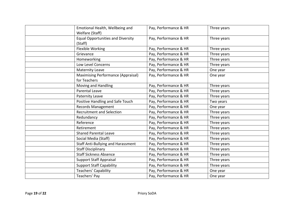| Emotional Health, Wellbeing and<br>Welfare (Staff)        | Pay, Performance & HR | Three years |
|-----------------------------------------------------------|-----------------------|-------------|
| <b>Equal Opportunities and Diversity</b><br>(Staff)       | Pay, Performance & HR | Three years |
| Flexible Working                                          | Pay, Performance & HR | Three years |
| Grievance                                                 | Pay, Performance & HR | Three years |
| Homeworking                                               | Pay, Performance & HR | Three years |
| Low Level Concerns                                        | Pay, Performance & HR | Three years |
| <b>Maternity Leave</b>                                    | Pay, Performance & HR | One year    |
| <b>Maximising Performance (Appraisal)</b><br>for Teachers | Pay, Performance & HR | One year    |
| Moving and Handling                                       | Pay, Performance & HR | Three years |
| <b>Parental Leave</b>                                     | Pay, Performance & HR | Three years |
| Paternity Leave                                           | Pay, Performance & HR | Three years |
| Positive Handling and Safe Touch                          | Pay, Performance & HR | Two years   |
| <b>Records Management</b>                                 | Pay, Performance & HR | One year    |
| <b>Recruitment and Selection</b>                          | Pay, Performance & HR | Three years |
| Redundancy                                                | Pay, Performance & HR | Three years |
| Reference                                                 | Pay, Performance & HR | Three years |
| Retirement                                                | Pay, Performance & HR | Three years |
| <b>Shared Parental Leave</b>                              | Pay, Performance & HR | Three years |
| Social Media (Staff)                                      | Pay, Performance & HR | Three years |
| Staff Anti-Bullying and Harassment                        | Pay, Performance & HR | Three years |
| <b>Staff Disciplinary</b>                                 | Pay, Performance & HR | Three years |
| <b>Staff Sickness Absence</b>                             | Pay, Performance & HR | Three years |
| <b>Support Staff Appraisal</b>                            | Pay, Performance & HR | Three years |
| <b>Support Staff Capability</b>                           | Pay, Performance & HR | Three years |
| <b>Teachers' Capability</b>                               | Pay, Performance & HR | One year    |
| Teachers' Pay                                             | Pay, Performance & HR | One year    |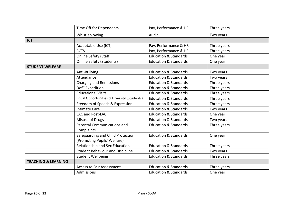|                                | Time Off for Dependants                                          | Pay, Performance & HR            | Three years |
|--------------------------------|------------------------------------------------------------------|----------------------------------|-------------|
|                                | Whistleblowing                                                   | Audit                            | Two years   |
| <b>ICT</b>                     |                                                                  |                                  |             |
|                                | Acceptable Use (ICT)                                             | Pay, Performance & HR            | Three years |
|                                | <b>CCTV</b>                                                      | Pay, Performance & HR            | Three years |
|                                | <b>Online Safety (Staff)</b>                                     | <b>Education &amp; Standards</b> | One year    |
|                                | <b>Online Safety (Students)</b>                                  | <b>Education &amp; Standards</b> | One year    |
| <b>STUDENT WELFARE</b>         |                                                                  |                                  |             |
|                                | Anti-Bullying                                                    | <b>Education &amp; Standards</b> | Two years   |
|                                | Attendance                                                       | <b>Education &amp; Standards</b> | Two years   |
|                                | <b>Charging and Remissions</b>                                   | <b>Education &amp; Standards</b> | Three years |
|                                | DofE Expedition                                                  | <b>Education &amp; Standards</b> | Three years |
|                                | <b>Educational Visits</b>                                        | <b>Education &amp; Standards</b> | Three years |
|                                | Equal Opportunities & Diversity (Students)                       | <b>Education &amp; Standards</b> | Three years |
|                                | Freedom of Speech & Expression                                   | <b>Education &amp; Standards</b> | Three years |
|                                | <b>Intimate Care</b>                                             | <b>Education &amp; Standards</b> | Two years   |
|                                | LAC and Post-LAC                                                 | <b>Education &amp; Standards</b> | One year    |
|                                | Misuse of Drugs                                                  | <b>Education &amp; Standards</b> | Two years   |
|                                | Parental Communications and<br>Complaints                        | <b>Education &amp; Standards</b> | Three years |
|                                | Safeguarding and Child Protection<br>(Promoting Pupils' Welfare) | <b>Education &amp; Standards</b> | One year    |
|                                | Relationship and Sex Education                                   | <b>Education &amp; Standards</b> | Three years |
|                                | <b>Student Behaviour and Discipline</b>                          | <b>Education &amp; Standards</b> | Two years   |
|                                | <b>Student Wellbeing</b>                                         | <b>Education &amp; Standards</b> | Three years |
| <b>TEACHING &amp; LEARNING</b> |                                                                  |                                  |             |
|                                | <b>Access to Fair Assessment</b>                                 | <b>Education &amp; Standards</b> | Three years |
|                                | Admissions                                                       | <b>Education &amp; Standards</b> | One year    |